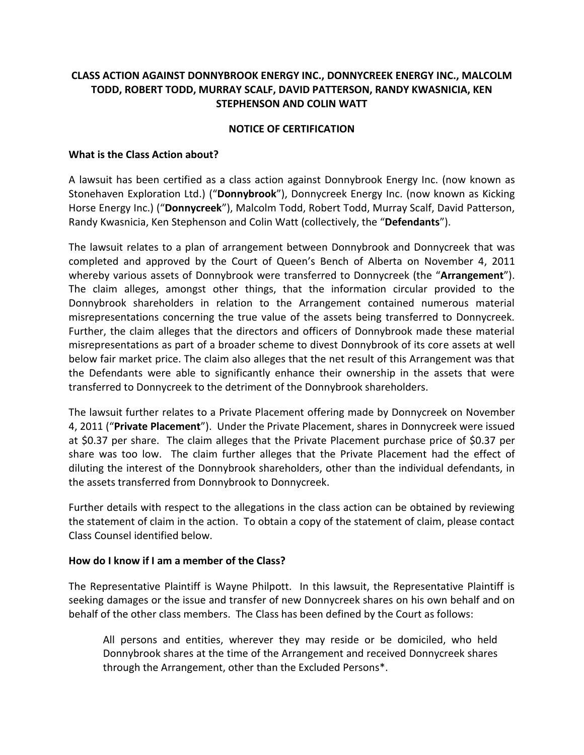# **CLASS ACTION AGAINST DONNYBROOK ENERGY INC., DONNYCREEK ENERGY INC., MALCOLM TODD, ROBERT TODD, MURRAY SCALF, DAVID PATTERSON, RANDY KWASNICIA, KEN STEPHENSON AND COLIN WATT**

### **NOTICE OF CERTIFICATION**

### **What is the Class Action about?**

A lawsuit has been certified as a class action against Donnybrook Energy Inc. (now known as Stonehaven Exploration Ltd.) ("**Donnybrook**"), Donnycreek Energy Inc. (now known as Kicking Horse Energy Inc.) ("**Donnycreek**"), Malcolm Todd, Robert Todd, Murray Scalf, David Patterson, Randy Kwasnicia, Ken Stephenson and Colin Watt (collectively, the "**Defendants**").

The lawsuit relates to a plan of arrangement between Donnybrook and Donnycreek that was completed and approved by the Court of Queen's Bench of Alberta on November 4, 2011 whereby various assets of Donnybrook were transferred to Donnycreek (the "**Arrangement**"). The claim alleges, amongst other things, that the information circular provided to the Donnybrook shareholders in relation to the Arrangement contained numerous material misrepresentations concerning the true value of the assets being transferred to Donnycreek. Further, the claim alleges that the directors and officers of Donnybrook made these material misrepresentations as part of a broader scheme to divest Donnybrook of its core assets at well below fair market price. The claim also alleges that the net result of this Arrangement was that the Defendants were able to significantly enhance their ownership in the assets that were transferred to Donnycreek to the detriment of the Donnybrook shareholders.

The lawsuit further relates to a Private Placement offering made by Donnycreek on November 4, 2011 ("**Private Placement**"). Under the Private Placement, shares in Donnycreek were issued at \$0.37 per share. The claim alleges that the Private Placement purchase price of \$0.37 per share was too low. The claim further alleges that the Private Placement had the effect of diluting the interest of the Donnybrook shareholders, other than the individual defendants, in the assets transferred from Donnybrook to Donnycreek.

Further details with respect to the allegations in the class action can be obtained by reviewing the statement of claim in the action. To obtain a copy of the statement of claim, please contact Class Counsel identified below.

### **How do I know if I am a member of the Class?**

The Representative Plaintiff is Wayne Philpott. In this lawsuit, the Representative Plaintiff is seeking damages or the issue and transfer of new Donnycreek shares on his own behalf and on behalf of the other class members. The Class has been defined by the Court as follows:

All persons and entities, wherever they may reside or be domiciled, who held Donnybrook shares at the time of the Arrangement and received Donnycreek shares through the Arrangement, other than the Excluded Persons\*.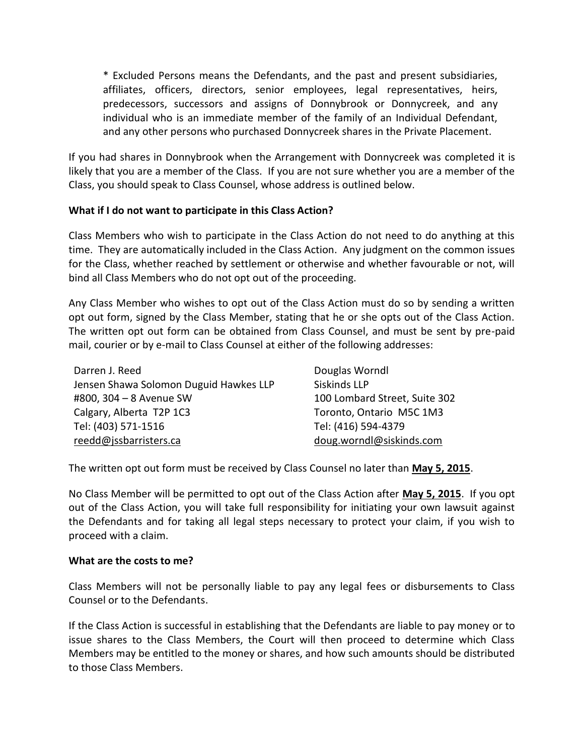\* Excluded Persons means the Defendants, and the past and present subsidiaries, affiliates, officers, directors, senior employees, legal representatives, heirs, predecessors, successors and assigns of Donnybrook or Donnycreek, and any individual who is an immediate member of the family of an Individual Defendant, and any other persons who purchased Donnycreek shares in the Private Placement.

If you had shares in Donnybrook when the Arrangement with Donnycreek was completed it is likely that you are a member of the Class. If you are not sure whether you are a member of the Class, you should speak to Class Counsel, whose address is outlined below.

## **What if I do not want to participate in this Class Action?**

Class Members who wish to participate in the Class Action do not need to do anything at this time. They are automatically included in the Class Action. Any judgment on the common issues for the Class, whether reached by settlement or otherwise and whether favourable or not, will bind all Class Members who do not opt out of the proceeding.

Any Class Member who wishes to opt out of the Class Action must do so by sending a written opt out form, signed by the Class Member, stating that he or she opts out of the Class Action. The written opt out form can be obtained from Class Counsel, and must be sent by pre-paid mail, courier or by e-mail to Class Counsel at either of the following addresses:

| Darren J. Reed                         | Douglas Worndl                |
|----------------------------------------|-------------------------------|
| Jensen Shawa Solomon Duguid Hawkes LLP | Siskinds LLP                  |
| #800, 304 - 8 Avenue SW                | 100 Lombard Street, Suite 302 |
| Calgary, Alberta T2P 1C3               | Toronto, Ontario M5C 1M3      |
| Tel: (403) 571-1516                    | Tel: (416) 594-4379           |
| reedd@jssbarristers.ca                 | doug.worndl@siskinds.com      |

The written opt out form must be received by Class Counsel no later than **May 5, 2015**.

No Class Member will be permitted to opt out of the Class Action after **May 5, 2015**. If you opt out of the Class Action, you will take full responsibility for initiating your own lawsuit against the Defendants and for taking all legal steps necessary to protect your claim, if you wish to proceed with a claim.

### **What are the costs to me?**

Class Members will not be personally liable to pay any legal fees or disbursements to Class Counsel or to the Defendants.

If the Class Action is successful in establishing that the Defendants are liable to pay money or to issue shares to the Class Members, the Court will then proceed to determine which Class Members may be entitled to the money or shares, and how such amounts should be distributed to those Class Members.